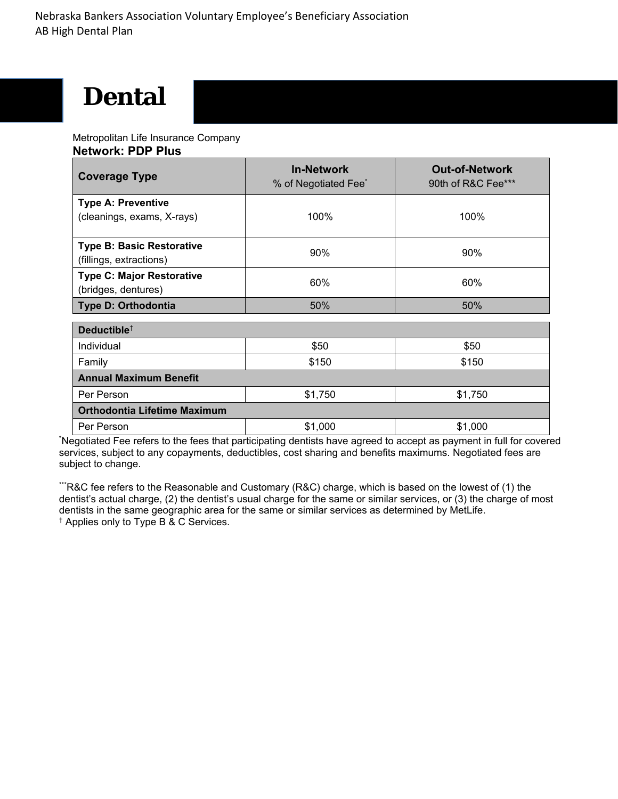# **Dental**

Metropolitan Life Insurance Company **Network: PDP Plus** 

| <b>Coverage Type</b>                                        | <b>In-Network</b><br>% of Negotiated Fee <sup>*</sup> | <b>Out-of-Network</b><br>90th of R&C Fee*** |
|-------------------------------------------------------------|-------------------------------------------------------|---------------------------------------------|
| <b>Type A: Preventive</b>                                   |                                                       |                                             |
| (cleanings, exams, X-rays)                                  | 100%                                                  | 100%                                        |
| <b>Type B: Basic Restorative</b><br>(fillings, extractions) | 90%                                                   | 90%                                         |
| <b>Type C: Major Restorative</b>                            |                                                       |                                             |
| (bridges, dentures)                                         | 60%                                                   | 60%                                         |
| <b>Type D: Orthodontia</b>                                  | 50%                                                   | 50%                                         |
| Deductible <sup>+</sup>                                     |                                                       |                                             |
| Individual                                                  | \$50                                                  | \$50                                        |
| Family                                                      | \$150                                                 | \$150                                       |
| <b>Annual Maximum Benefit</b>                               |                                                       |                                             |
| Per Person                                                  | \$1,750                                               | \$1,750                                     |
| <b>Orthodontia Lifetime Maximum</b>                         |                                                       |                                             |
| Per Person                                                  | \$1,000                                               | \$1,000                                     |

\* Negotiated Fee refers to the fees that participating dentists have agreed to accept as payment in full for covered services, subject to any copayments, deductibles, cost sharing and benefits maximums. Negotiated fees are subject to change.

\*\*\*R&C fee refers to the Reasonable and Customary (R&C) charge, which is based on the lowest of (1) the dentist's actual charge, (2) the dentist's usual charge for the same or similar services, or (3) the charge of most dentists in the same geographic area for the same or similar services as determined by MetLife. † Applies only to Type B & C Services.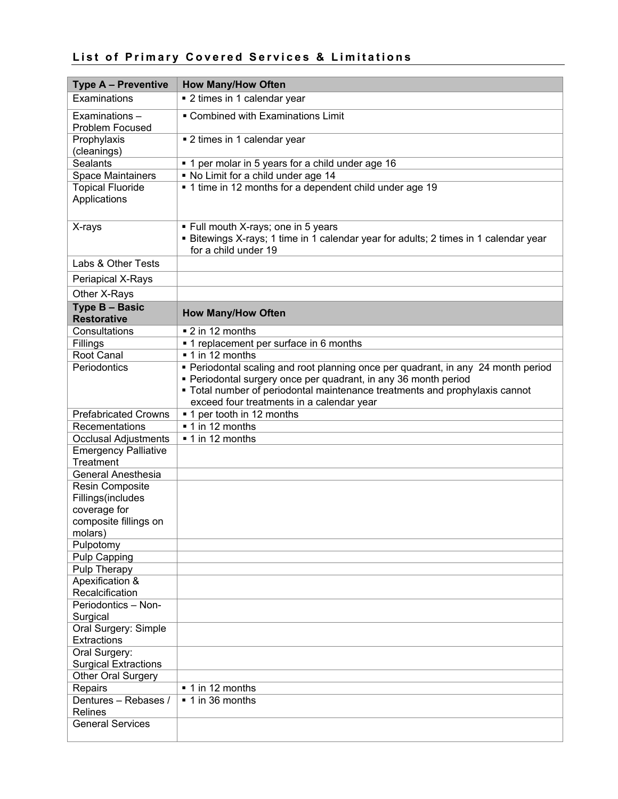## **List of Primary Covered Services & Limitations**

| <b>Type A - Preventive</b>               | <b>How Many/How Often</b>                                                                                                                                                                                                                                                        |
|------------------------------------------|----------------------------------------------------------------------------------------------------------------------------------------------------------------------------------------------------------------------------------------------------------------------------------|
| Examinations                             | • 2 times in 1 calendar year                                                                                                                                                                                                                                                     |
| Examinations-<br>Problem Focused         | • Combined with Examinations Limit                                                                                                                                                                                                                                               |
| Prophylaxis<br>(cleanings)               | ■ 2 times in 1 calendar year                                                                                                                                                                                                                                                     |
| <b>Sealants</b>                          | • 1 per molar in 5 years for a child under age 16                                                                                                                                                                                                                                |
| <b>Space Maintainers</b>                 | . No Limit for a child under age 14                                                                                                                                                                                                                                              |
| <b>Topical Fluoride</b><br>Applications  | • 1 time in 12 months for a dependent child under age 19                                                                                                                                                                                                                         |
| X-rays                                   | • Full mouth X-rays; one in 5 years<br><b>Bitewings X-rays; 1 time in 1 calendar year for adults; 2 times in 1 calendar year</b><br>for a child under 19                                                                                                                         |
| Labs & Other Tests                       |                                                                                                                                                                                                                                                                                  |
| Periapical X-Rays                        |                                                                                                                                                                                                                                                                                  |
| Other X-Rays                             |                                                                                                                                                                                                                                                                                  |
| Type B - Basic<br><b>Restorative</b>     | <b>How Many/How Often</b>                                                                                                                                                                                                                                                        |
| Consultations                            | ■ 2 in 12 months                                                                                                                                                                                                                                                                 |
| Fillings                                 | • 1 replacement per surface in 6 months                                                                                                                                                                                                                                          |
| Root Canal                               | ■ 1 in 12 months                                                                                                                                                                                                                                                                 |
| Periodontics                             | • Periodontal scaling and root planning once per quadrant, in any 24 month period<br>• Periodontal surgery once per quadrant, in any 36 month period<br>• Total number of periodontal maintenance treatments and prophylaxis cannot<br>exceed four treatments in a calendar year |
| <b>Prefabricated Crowns</b>              | ■ 1 per tooth in 12 months                                                                                                                                                                                                                                                       |
| Recementations                           | ■ 1 in 12 months                                                                                                                                                                                                                                                                 |
| <b>Occlusal Adjustments</b>              | ■ 1 in 12 months                                                                                                                                                                                                                                                                 |
| <b>Emergency Palliative</b><br>Treatment |                                                                                                                                                                                                                                                                                  |
| General Anesthesia                       |                                                                                                                                                                                                                                                                                  |
| Resin Composite                          |                                                                                                                                                                                                                                                                                  |
| Fillings(includes                        |                                                                                                                                                                                                                                                                                  |
| coverage for<br>composite fillings on    |                                                                                                                                                                                                                                                                                  |
| molars)                                  |                                                                                                                                                                                                                                                                                  |
| Pulpotomy                                |                                                                                                                                                                                                                                                                                  |
| Pulp Capping                             |                                                                                                                                                                                                                                                                                  |
| Pulp Therapy                             |                                                                                                                                                                                                                                                                                  |
| Apexification &                          |                                                                                                                                                                                                                                                                                  |
| Recalcification                          |                                                                                                                                                                                                                                                                                  |
| Periodontics - Non-                      |                                                                                                                                                                                                                                                                                  |
| Surgical                                 |                                                                                                                                                                                                                                                                                  |
| Oral Surgery: Simple                     |                                                                                                                                                                                                                                                                                  |
| Extractions<br>Oral Surgery:             |                                                                                                                                                                                                                                                                                  |
| <b>Surgical Extractions</b>              |                                                                                                                                                                                                                                                                                  |
| Other Oral Surgery                       |                                                                                                                                                                                                                                                                                  |
| Repairs                                  | ■ 1 in 12 months                                                                                                                                                                                                                                                                 |
| Dentures - Rebases /<br><b>Relines</b>   | $\overline{\phantom{0}}$ 1 in 36 months                                                                                                                                                                                                                                          |
| <b>General Services</b>                  |                                                                                                                                                                                                                                                                                  |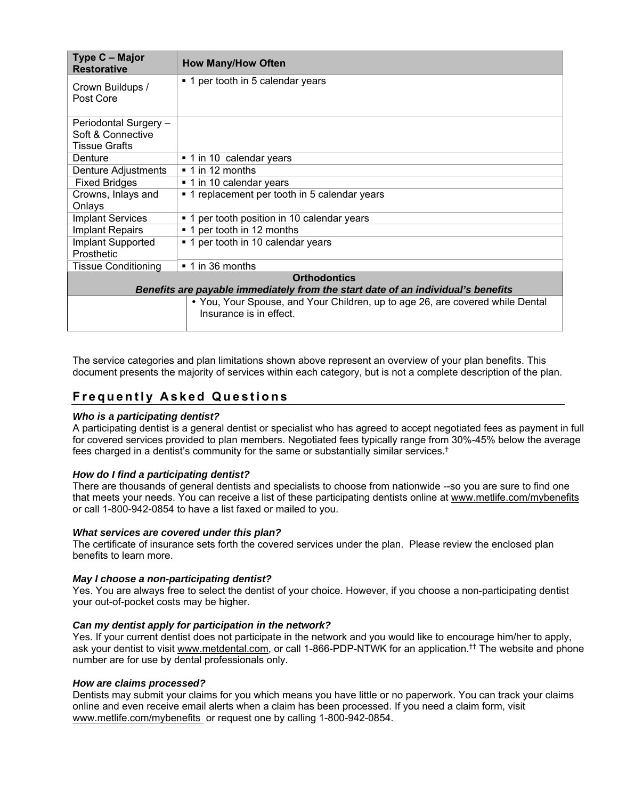| Type C - Major<br><b>Restorative</b>                                             | <b>How Many/How Often</b>                                                     |  |
|----------------------------------------------------------------------------------|-------------------------------------------------------------------------------|--|
| Crown Buildups /                                                                 | ■ 1 per tooth in 5 calendar years                                             |  |
| Post Core                                                                        |                                                                               |  |
| Periodontal Surgery -                                                            |                                                                               |  |
| Soft & Connective                                                                |                                                                               |  |
| Tissue Grafts                                                                    |                                                                               |  |
| Denture                                                                          | ■ 1 in 10 calendar years                                                      |  |
| Denture Adjustments                                                              | $\bullet$ 1 in 12 months                                                      |  |
| <b>Fixed Bridges</b>                                                             | ■ 1 in 10 calendar years                                                      |  |
| Crowns, Inlays and                                                               | • 1 replacement per tooth in 5 calendar years                                 |  |
| Onlays                                                                           |                                                                               |  |
| <b>Implant Services</b>                                                          | ■ 1 per tooth position in 10 calendar years                                   |  |
| <b>Implant Repairs</b>                                                           | ■ 1 per tooth in 12 months                                                    |  |
| Implant Supported                                                                | • 1 per tooth in 10 calendar years                                            |  |
| Prosthetic                                                                       |                                                                               |  |
| <b>Tissue Conditioning</b>                                                       | ■ 1 in 36 months                                                              |  |
| <b>Orthodontics</b>                                                              |                                                                               |  |
| Benefits are payable immediately from the start date of an individual's benefits |                                                                               |  |
|                                                                                  | • You, Your Spouse, and Your Children, up to age 26, are covered while Dental |  |
|                                                                                  | Insurance is in effect.                                                       |  |
|                                                                                  |                                                                               |  |

The service categories and plan limitations shown above represent an overview of your plan benefits. This document presents the majority of services within each category, but is not a complete description of the plan.

## **Frequently Asked Questions**

#### *Who is a participating dentist?*

A participating dentist is a general dentist or specialist who has agreed to accept negotiated fees as payment in full for covered services provided to plan members. Negotiated fees typically range from 30%-45% below the average fees charged in a dentist's community for the same or substantially similar services.<sup>†</sup>

#### *How do I find a participating dentist?*

There are thousands of general dentists and specialists to choose from nationwide --so you are sure to find one that meets your needs. You can receive a list of these participating dentists online at www.metlife.com/mybenefits or call 1-800-942-0854 to have a list faxed or mailed to you.

#### *What services are covered under this plan?*

The certificate of insurance sets forth the covered services under the plan. Please review the enclosed plan benefits to learn more.

#### *May I choose a non-participating dentist?*

Yes. You are always free to select the dentist of your choice. However, if you choose a non-participating dentist your out-of-pocket costs may be higher.

#### *Can my dentist apply for participation in the network?*

Yes. If your current dentist does not participate in the network and you would like to encourage him/her to apply, ask your dentist to visit www.metdental.com, or call 1-866-PDP-NTWK for an application.†† The website and phone number are for use by dental professionals only.

#### *How are claims processed?*

Dentists may submit your claims for you which means you have little or no paperwork. You can track your claims online and even receive email alerts when a claim has been processed. If you need a claim form, visit www.metlife.com/mybenefits or request one by calling 1-800-942-0854.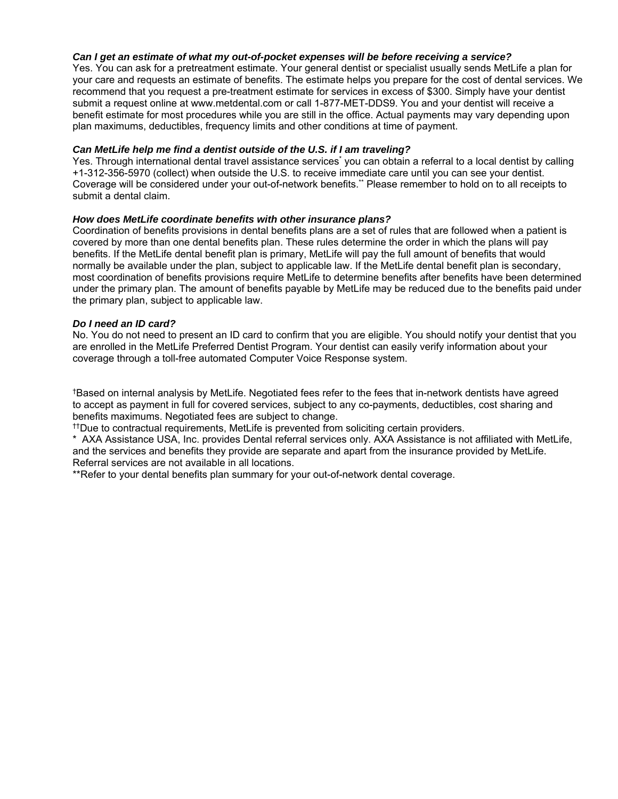#### *Can I get an estimate of what my out-of-pocket expenses will be before receiving a service?*

Yes. You can ask for a pretreatment estimate. Your general dentist or specialist usually sends MetLife a plan for your care and requests an estimate of benefits. The estimate helps you prepare for the cost of dental services. We recommend that you request a pre-treatment estimate for services in excess of \$300. Simply have your dentist submit a request online at www.metdental.com or call 1-877-MET-DDS9. You and your dentist will receive a benefit estimate for most procedures while you are still in the office. Actual payments may vary depending upon plan maximums, deductibles, frequency limits and other conditions at time of payment.

#### *Can MetLife help me find a dentist outside of the U.S. if I am traveling?*

Yes. Through international dental travel assistance services<sup>\*</sup> you can obtain a referral to a local dentist by calling +1-312-356-5970 (collect) when outside the U.S. to receive immediate care until you can see your dentist. Coverage will be considered under your out-of-network benefits.\*\* Please remember to hold on to all receipts to submit a dental claim.

#### *How does MetLife coordinate benefits with other insurance plans?*

Coordination of benefits provisions in dental benefits plans are a set of rules that are followed when a patient is covered by more than one dental benefits plan. These rules determine the order in which the plans will pay benefits. If the MetLife dental benefit plan is primary, MetLife will pay the full amount of benefits that would normally be available under the plan, subject to applicable law. If the MetLife dental benefit plan is secondary, most coordination of benefits provisions require MetLife to determine benefits after benefits have been determined under the primary plan. The amount of benefits payable by MetLife may be reduced due to the benefits paid under the primary plan, subject to applicable law.

#### *Do I need an ID card?*

No. You do not need to present an ID card to confirm that you are eligible. You should notify your dentist that you are enrolled in the MetLife Preferred Dentist Program. Your dentist can easily verify information about your coverage through a toll-free automated Computer Voice Response system.

†Based on internal analysis by MetLife. Negotiated fees refer to the fees that in-network dentists have agreed to accept as payment in full for covered services, subject to any co-payments, deductibles, cost sharing and benefits maximums. Negotiated fees are subject to change.

††Due to contractual requirements, MetLife is prevented from soliciting certain providers.

\* AXA Assistance USA, Inc. provides Dental referral services only. AXA Assistance is not affiliated with MetLife, and the services and benefits they provide are separate and apart from the insurance provided by MetLife. Referral services are not available in all locations.

\*\*Refer to your dental benefits plan summary for your out-of-network dental coverage.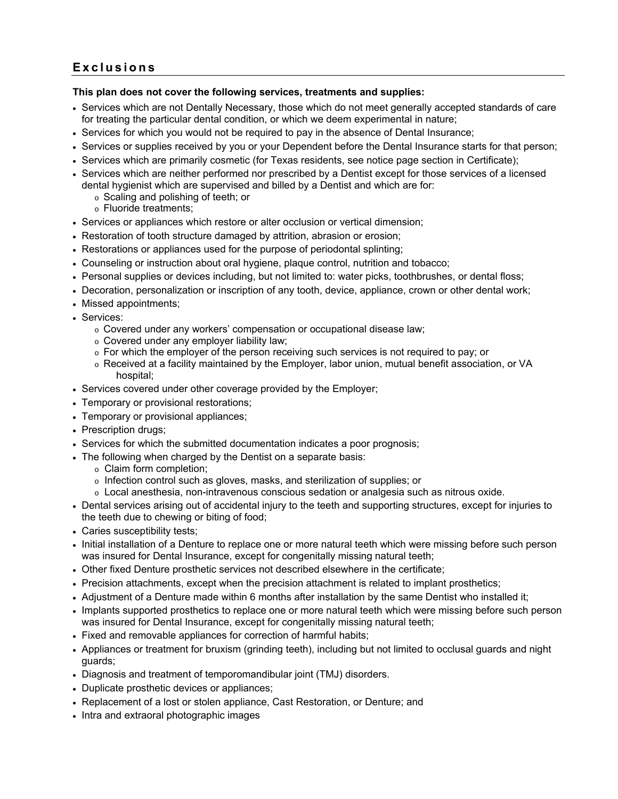## **Exclusions**

#### **This plan does not cover the following services, treatments and supplies:**

- Services which are not Dentally Necessary, those which do not meet generally accepted standards of care for treating the particular dental condition, or which we deem experimental in nature;
- Services for which you would not be required to pay in the absence of Dental Insurance;
- Services or supplies received by you or your Dependent before the Dental Insurance starts for that person;
- Services which are primarily cosmetic (for Texas residents, see notice page section in Certificate);
- Services which are neither performed nor prescribed by a Dentist except for those services of a licensed dental hygienist which are supervised and billed by a Dentist and which are for:
	- o Scaling and polishing of teeth; or
	- o Fluoride treatments;
- Services or appliances which restore or alter occlusion or vertical dimension;
- Restoration of tooth structure damaged by attrition, abrasion or erosion;
- Restorations or appliances used for the purpose of periodontal splinting;
- Counseling or instruction about oral hygiene, plaque control, nutrition and tobacco;
- Personal supplies or devices including, but not limited to: water picks, toothbrushes, or dental floss;
- Decoration, personalization or inscription of any tooth, device, appliance, crown or other dental work;
- Missed appointments;
- Services:
	- o Covered under any workers' compensation or occupational disease law;
	- o Covered under any employer liability law;
	- $\circ$  For which the employer of the person receiving such services is not required to pay; or
	- o Received at a facility maintained by the Employer, labor union, mutual benefit association, or VA hospital;
- Services covered under other coverage provided by the Employer;
- Temporary or provisional restorations;
- Temporary or provisional appliances;
- Prescription drugs;
- Services for which the submitted documentation indicates a poor prognosis;
- The following when charged by the Dentist on a separate basis:
	- o Claim form completion;
	- o Infection control such as gloves, masks, and sterilization of supplies; or
	- $\circ$  Local anesthesia, non-intravenous conscious sedation or analgesia such as nitrous oxide.
- Dental services arising out of accidental injury to the teeth and supporting structures, except for injuries to the teeth due to chewing or biting of food;
- Caries susceptibility tests;
- Initial installation of a Denture to replace one or more natural teeth which were missing before such person was insured for Dental Insurance, except for congenitally missing natural teeth;
- Other fixed Denture prosthetic services not described elsewhere in the certificate;
- Precision attachments, except when the precision attachment is related to implant prosthetics;
- Adjustment of a Denture made within 6 months after installation by the same Dentist who installed it;
- Implants supported prosthetics to replace one or more natural teeth which were missing before such person was insured for Dental Insurance, except for congenitally missing natural teeth;
- Fixed and removable appliances for correction of harmful habits;
- Appliances or treatment for bruxism (grinding teeth), including but not limited to occlusal guards and night guards;
- Diagnosis and treatment of temporomandibular joint (TMJ) disorders.
- Duplicate prosthetic devices or appliances;
- Replacement of a lost or stolen appliance, Cast Restoration, or Denture; and
- Intra and extraoral photographic images